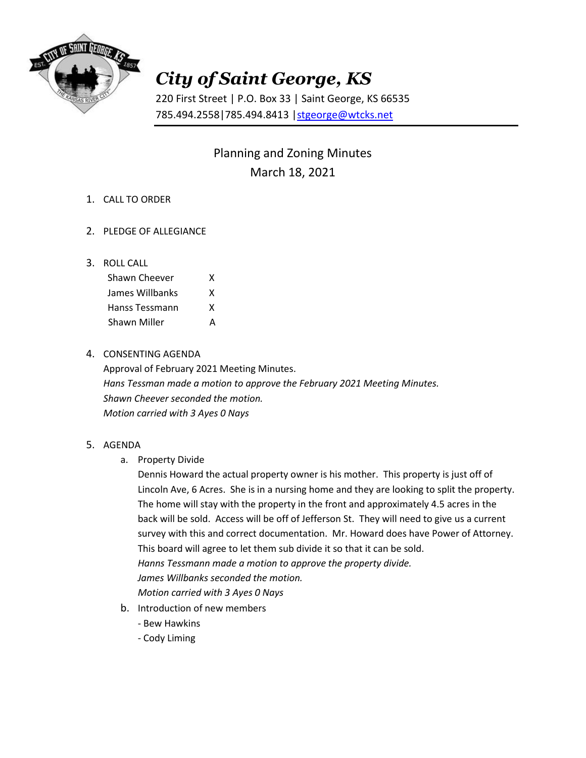

## *City of Saint George, KS*

220 First Street | P.O. Box 33 | Saint George, KS 66535 785.494.2558|785.494.8413 [|stgeorge@wtcks.net](mailto:stgeorge@wtcks.net)

> Planning and Zoning Minutes March 18, 2021

- 1. CALL TO ORDER
- 2. PLEDGE OF ALLEGIANCE
- 3. ROLL CALL

| Shawn Cheever   | x |
|-----------------|---|
| James Willbanks | x |
| Hanss Tessmann  | x |
| Shawn Miller    | А |

## 4. CONSENTING AGENDA

Approval of February 2021 Meeting Minutes. *Hans Tessman made a motion to approve the February 2021 Meeting Minutes. Shawn Cheever seconded the motion. Motion carried with 3 Ayes 0 Nays*

- 5. AGENDA
	- a. Property Divide

Dennis Howard the actual property owner is his mother. This property is just off of Lincoln Ave, 6 Acres. She is in a nursing home and they are looking to split the property. The home will stay with the property in the front and approximately 4.5 acres in the back will be sold. Access will be off of Jefferson St. They will need to give us a current survey with this and correct documentation. Mr. Howard does have Power of Attorney. This board will agree to let them sub divide it so that it can be sold. *Hanns Tessmann made a motion to approve the property divide. James Willbanks seconded the motion. Motion carried with 3 Ayes 0 Nays*

- b. Introduction of new members
	- Bew Hawkins
	- Cody Liming